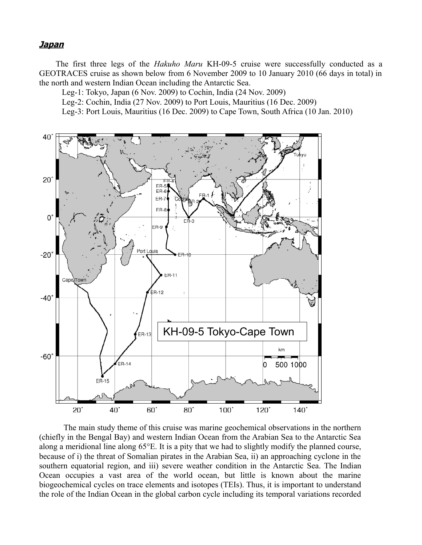## **Japan**

The first three legs of the *Hakuho Maru* KH-09-5 cruise were successfully conducted as a GEOTRACES cruise as shown below from 6 November 2009 to 10 January 2010 (66 days in total) in the north and western Indian Ocean including the Antarctic Sea.

Leg-1: Tokyo, Japan (6 Nov. 2009) to Cochin, India (24 Nov. 2009)

Leg-2: Cochin, India (27 Nov. 2009) to Port Louis, Mauritius (16 Dec. 2009)

Leg-3: Port Louis, Mauritius (16 Dec. 2009) to Cape Town, South Africa (10 Jan. 2010)



The main study theme of this cruise was marine geochemical observations in the northern (chiefly in the Bengal Bay) and western Indian Ocean from the Arabian Sea to the Antarctic Sea along a meridional line along 65°E. It is a pity that we had to slightly modify the planned course, because of i) the threat of Somalian pirates in the Arabian Sea, ii) an approaching cyclone in the southern equatorial region, and iii) severe weather condition in the Antarctic Sea. The Indian Ocean occupies a vast area of the world ocean, but little is known about the marine biogeochemical cycles on trace elements and isotopes (TEIs). Thus, it is important to understand the role of the Indian Ocean in the global carbon cycle including its temporal variations recorded